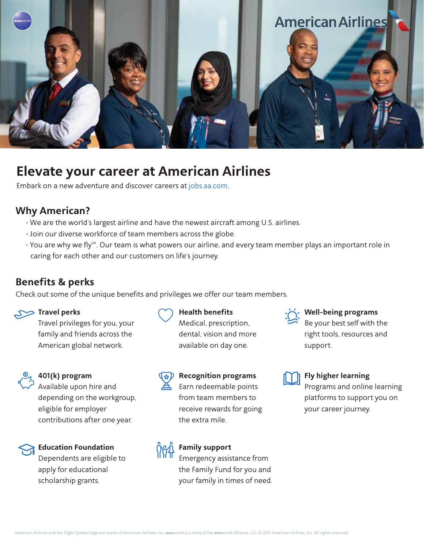

# **Elevate your career at American Airlines**

Embark on a new adventure and discover careers a[t jobs.aa.com.](https://jobs.aa.com/)

# **Why American?**

- We are the world's largest airline and have the newest aircraft among U.S. airlines.
- Join our diverse workforce of team members across the globe.
- You are why we fly<sup>5M</sup>. Our team is what powers our airline, and every team member plays an important role in caring for each other and our customers on life's journey.

**Health benefits**

Medical, prescription, dental, vision and more available on day one.

# **Benefits & perks**

Check out some of the unique benefits and privileges we offer our team members.



## **Travel perks**

Travel privileges for you, your family and friends across the American global network.



## **401(k) program**

Available upon hire and depending on the workgroup, eligible for employer contributions after one year.



## **Education Foundation** Dependents are eligible to

apply for educational scholarship grants.



# **Recognition programs** Earn redeemable points from team members to

receive rewards for going the extra mile.



**Family support** Emergency assistance from the Family Fund for you and your family in times of need.



#### **Well-being programs**

Be your best self with the right tools, resources and support.



## **Fly higher learning**

Programs and online learning platforms to support you on your career journey.